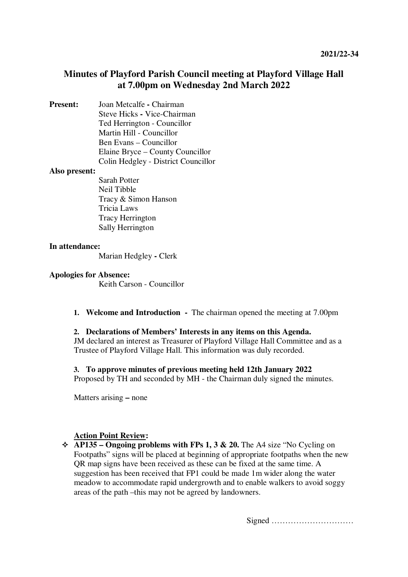# **Minutes of Playford Parish Council meeting at Playford Village Hall at 7.00pm on Wednesday 2nd March 2022**

**Present:** Joan Metcalfe **-** Chairman Steve Hicks **-** Vice-Chairman Ted Herrington - Councillor Martin Hill - Councillor Ben Evans – Councillor Elaine Bryce – County Councillor Colin Hedgley - District Councillor

### **Also present:**

Sarah Potter Neil Tibble Tracy & Simon Hanson Tricia Laws Tracy Herrington Sally Herrington

## **In attendance:**

Marian Hedgley **-** Clerk

### **Apologies for Absence:**

Keith Carson - Councillor

**1. Welcome and Introduction -** The chairman opened the meeting at 7.00pm

#### **2. Declarations of Members' Interests in any items on this Agenda.**

JM declared an interest as Treasurer of Playford Village Hall Committee and as a Trustee of Playford Village Hall. This information was duly recorded.

## **3. To approve minutes of previous meeting held 12th January 2022**

Proposed by TH and seconded by MH - the Chairman duly signed the minutes.

Matters arising **–** none

## **Action Point Review:**

 $\triangle$  AP135 – Ongoing problems with FPs 1, 3 & 20. The A4 size "No Cycling on Footpaths" signs will be placed at beginning of appropriate footpaths when the new QR map signs have been received as these can be fixed at the same time. A suggestion has been received that FP1 could be made 1m wider along the water meadow to accommodate rapid undergrowth and to enable walkers to avoid soggy areas of the path –this may not be agreed by landowners.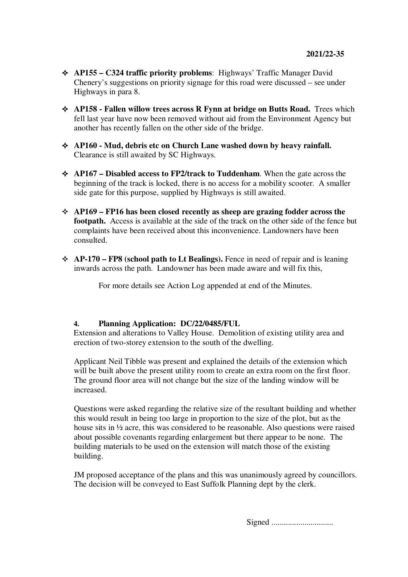- **AP155 C324 traffic priority problems**: Highways' Traffic Manager David Chenery's suggestions on priority signage for this road were discussed – see under Highways in para 8.
- **AP158 Fallen willow trees across R Fynn at bridge on Butts Road.** Trees which fell last year have now been removed without aid from the Environment Agency but another has recently fallen on the other side of the bridge.
- **AP160 Mud, debris etc on Church Lane washed down by heavy rainfall.**  Clearance is still awaited by SC Highways.
- **AP167 Disabled access to FP2/track to Tuddenham**. When the gate across the beginning of the track is locked, there is no access for a mobility scooter. A smaller side gate for this purpose, supplied by Highways is still awaited.
- **AP169 FP16 has been closed recently as sheep are grazing fodder across the footpath.** Access is available at the side of the track on the other side of the fence but complaints have been received about this inconvenience. Landowners have been consulted.
- **AP-170 FP8 (school path to Lt Bealings).** Fence in need of repair and is leaning inwards across the path. Landowner has been made aware and will fix this,

For more details see Action Log appended at end of the Minutes.

## **4. Planning Application: DC/22/0485/FUL**

Extension and alterations to Valley House. Demolition of existing utility area and erection of two-storey extension to the south of the dwelling.

Applicant Neil Tibble was present and explained the details of the extension which will be built above the present utility room to create an extra room on the first floor. The ground floor area will not change but the size of the landing window will be increased.

Questions were asked regarding the relative size of the resultant building and whether this would result in being too large in proportion to the size of the plot, but as the house sits in ½ acre, this was considered to be reasonable. Also questions were raised about possible covenants regarding enlargement but there appear to be none. The building materials to be used on the extension will match those of the existing building.

JM proposed acceptance of the plans and this was unanimously agreed by councillors. The decision will be conveyed to East Suffolk Planning dept by the clerk.

Signed ..............................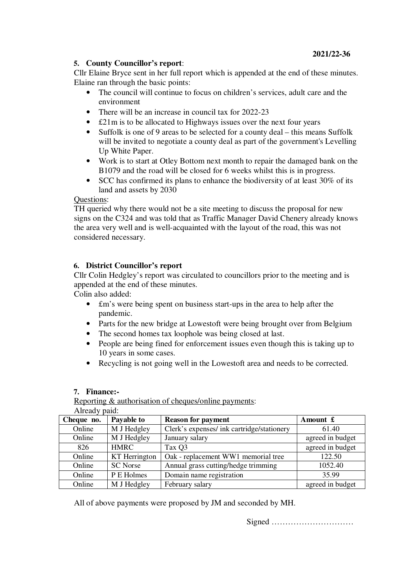# **5. County Councillor's report**:

Cllr Elaine Bryce sent in her full report which is appended at the end of these minutes. Elaine ran through the basic points:

- The council will continue to focus on children's services, adult care and the environment
- There will be an increase in council tax for 2022-23
- £21m is to be allocated to Highways issues over the next four years
- Suffolk is one of 9 areas to be selected for a county deal this means Suffolk will be invited to negotiate a county deal as part of the government's Levelling Up White Paper.
- Work is to start at Otley Bottom next month to repair the damaged bank on the B1079 and the road will be closed for 6 weeks whilst this is in progress.
- SCC has confirmed its plans to enhance the biodiversity of at least 30% of its land and assets by 2030

## Questions:

TH queried why there would not be a site meeting to discuss the proposal for new signs on the C324 and was told that as Traffic Manager David Chenery already knows the area very well and is well-acquainted with the layout of the road, this was not considered necessary.

# **6. District Councillor's report**

Cllr Colin Hedgley's report was circulated to councillors prior to the meeting and is appended at the end of these minutes.

Colin also added:

- £m's were being spent on business start-ups in the area to help after the pandemic.
- Parts for the new bridge at Lowestoft were being brought over from Belgium
- The second homes tax loophole was being closed at last.
- People are being fined for enforcement issues even though this is taking up to 10 years in some cases.
- Recycling is not going well in the Lowestoft area and needs to be corrected.

### **7. Finance:-**

# Reporting & authorisation of cheques/online payments:

Already paid:

| Cheque no. | Payable to      | <b>Reason for payment</b>                  | Amount $\mathbf{\pounds}$ |
|------------|-----------------|--------------------------------------------|---------------------------|
| Online     | M J Hedgley     | Clerk's expenses/ ink cartridge/stationery | 61.40                     |
| Online     | M J Hedgley     | January salary                             | agreed in budget          |
| 826        | <b>HMRC</b>     | Tax Q3                                     | agreed in budget          |
| Online     | KT Herrington   | Oak - replacement WW1 memorial tree        | 122.50                    |
| Online     | <b>SC</b> Norse | Annual grass cutting/hedge trimming        | 1052.40                   |
| Online     | P E Holmes      | Domain name registration                   | 35.99                     |
| Online     | M J Hedgley     | February salary                            | agreed in budget          |

All of above payments were proposed by JM and seconded by MH.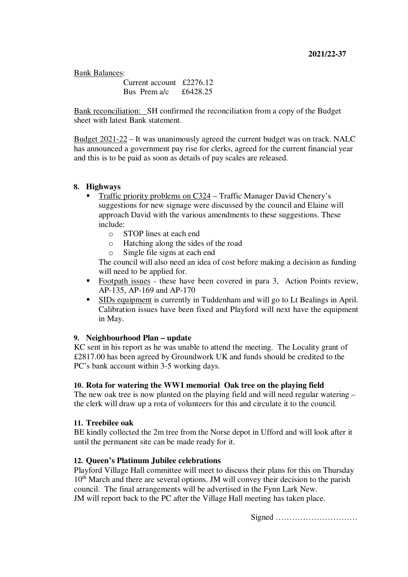Bank Balances:

Current account £2276.12 Bus Prem a/c £6428.25

Bank reconciliation: SH confirmed the reconciliation from a copy of the Budget sheet with latest Bank statement.

Budget 2021-22 – It was unanimously agreed the current budget was on track. NALC has announced a government pay rise for clerks, agreed for the current financial year and this is to be paid as soon as details of pay scales are released.

# **8. Highways**

- Traffic priority problems on C324 Traffic Manager David Chenery's suggestions for new signage were discussed by the council and Elaine will approach David with the various amendments to these suggestions. These include:
	- o STOP lines at each end
	- o Hatching along the sides of the road
	- o Single file signs at each end

The council will also need an idea of cost before making a decision as funding will need to be applied for.

- Footpath issues these have been covered in para 3, Action Points review, AP-135, AP-169 and AP-170
- SIDs equipment is currently in Tuddenham and will go to Lt Bealings in April. Calibration issues have been fixed and Playford will next have the equipment in May.

## **9. Neighbourhood Plan – update**

KC sent in his report as he was unable to attend the meeting. The Locality grant of £2817.00 has been agreed by Groundwork UK and funds should be credited to the PC's bank account within 3-5 working days.

## **10. Rota for watering the WW1 memorial Oak tree on the playing field**

The new oak tree is now planted on the playing field and will need regular watering – the clerk will draw up a rota of volunteers for this and circulate it to the council.

## **11. Treebilee oak**

BE kindly collected the 2m tree from the Norse depot in Ufford and will look after it until the permanent site can be made ready for it.

## **12. Queen's Platinum Jubilee celebrations**

Playford Village Hall committee will meet to discuss their plans for this on Thursday 10<sup>th</sup> March and there are several options. JM will convey their decision to the parish council. The final arrangements will be advertised in the Fynn Lark New. JM will report back to the PC after the Village Hall meeting has taken place.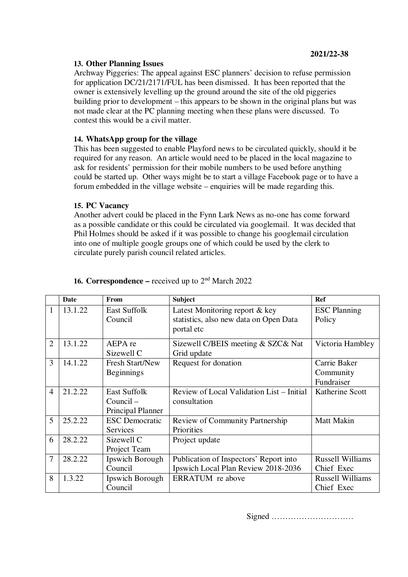## **13. Other Planning Issues**

Archway Piggeries: The appeal against ESC planners' decision to refuse permission for application DC/21/2171/FUL has been dismissed. It has been reported that the owner is extensively levelling up the ground around the site of the old piggeries building prior to development – this appears to be shown in the original plans but was not made clear at the PC planning meeting when these plans were discussed. To contest this would be a civil matter.

## **14. WhatsApp group for the village**

This has been suggested to enable Playford news to be circulated quickly, should it be required for any reason. An article would need to be placed in the local magazine to ask for residents' permission for their mobile numbers to be used before anything could be started up. Other ways might be to start a village Facebook page or to have a forum embedded in the village website – enquiries will be made regarding this.

### **15. PC Vacancy**

Another advert could be placed in the Fynn Lark News as no-one has come forward as a possible candidate or this could be circulated via googlemail. It was decided that Phil Holmes should be asked if it was possible to change his googlemail circulation into one of multiple google groups one of which could be used by the clerk to circulate purely parish council related articles.

|                          | Date    | From                   | <b>Subject</b>                            | Ref                     |
|--------------------------|---------|------------------------|-------------------------------------------|-------------------------|
| $\mathbf{1}$             | 13.1.22 | <b>East Suffolk</b>    | Latest Monitoring report & key            | <b>ESC</b> Planning     |
|                          |         | Council                | statistics, also new data on Open Data    | Policy                  |
|                          |         |                        | portal etc                                |                         |
| $\overline{2}$           | 13.1.22 | AEPA re                | Sizewell C/BEIS meeting & SZC& Nat        | Victoria Hambley        |
|                          |         | Sizewell C             | Grid update                               |                         |
| 3                        | 14.1.22 | <b>Fresh Start/New</b> | Request for donation                      | Carrie Baker            |
|                          |         | <b>Beginnings</b>      |                                           | Community               |
|                          |         |                        |                                           | Fundraiser              |
| $\overline{\mathcal{A}}$ | 21.2.22 | <b>East Suffolk</b>    | Review of Local Validation List – Initial | Katherine Scott         |
|                          |         | $Count =$              | consultation                              |                         |
|                          |         | Principal Planner      |                                           |                         |
| 5                        | 25.2.22 | <b>ESC</b> Democratic  | <b>Review of Community Partnership</b>    | <b>Matt Makin</b>       |
|                          |         | Services               | Priorities                                |                         |
| 6                        | 28.2.22 | Sizewell C             | Project update                            |                         |
|                          |         | Project Team           |                                           |                         |
| 7                        | 28.2.22 | Ipswich Borough        | Publication of Inspectors' Report into    | <b>Russell Williams</b> |
|                          |         | Council                | Ipswich Local Plan Review 2018-2036       | Chief Exec              |
| 8                        | 1.3.22  | Ipswich Borough        | ERRATUM re above                          | <b>Russell Williams</b> |
|                          |         | Council                |                                           | Chief Exec              |

# **16. Correspondence –** received up to 2nd March 2022